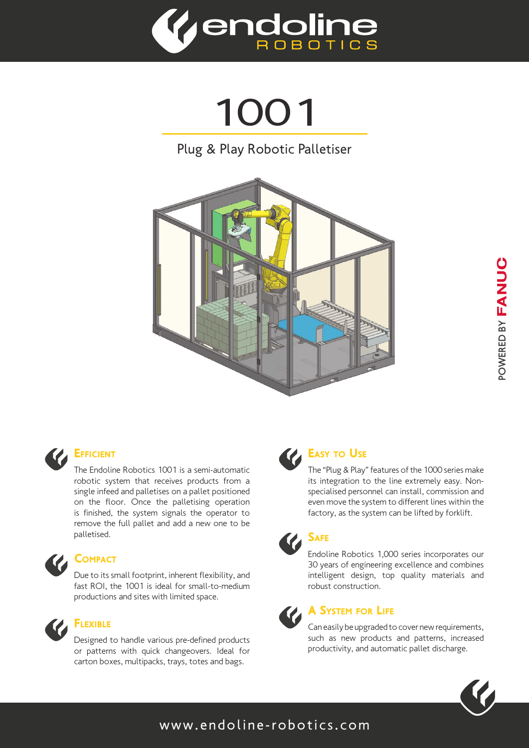

1001

### Plug & Play Robotic Palletiser





### **EFFICIENT**

The Endoline Robotics 1001 is a semi-automatic robotic system that receives products from a single infeed and palletises on a pallet positioned on the floor. Once the palletising operation is finished, the system signals the operator to remove the full pallet and add a new one to be palletised.



# **COMPACT**

Due to its small footprint, inherent flexibility, and fast ROI, the 1001 is ideal for small-to-medium productions and sites with limited space.



# FLEXIBLE

Designed to handle various pre-defined products or patterns with quick changeovers. Ideal for carton boxes, multipacks, trays, totes and bags.



### **EASY TO USE**

The "Plug & Play" features of the 1000 series make its integration to the line extremely easy. Nonspecialised personnel can install, commission and even move the system to different lines within the factory, as the system can be lifted by forklift.



Endoline Robotics 1,000 series incorporates our 30 years of engineering excellence and combines intelligent design, top quality materials and robust construction.



### A System for Life

Can easily be upgraded to cover new requirements, such as new products and patterns, increased productivity, and automatic pallet discharge.



### www.endoline-robotics.com